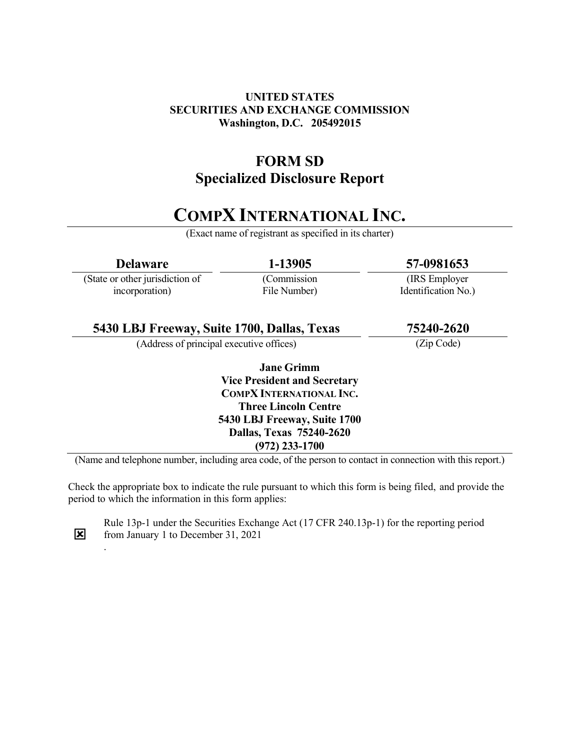# UNITED STATES SECURITIES AND EXCHANGE COMMISSION Washington, D.C. 205492015

# FORM SD Specialized Disclosure Report

# COMPX INTERNATIONAL INC.

(Exact name of registrant as specified in its charter)

| <b>Delaware</b>                                                                                            | 1-13905                         | 57-0981653          |  |
|------------------------------------------------------------------------------------------------------------|---------------------------------|---------------------|--|
| (State or other jurisdiction of                                                                            | (Commission                     | (IRS Employer)      |  |
| incorporation)                                                                                             | File Number)                    | Identification No.) |  |
| 5430 LBJ Freeway, Suite 1700, Dallas, Texas                                                                |                                 | 75240-2620          |  |
| (Address of principal executive offices)                                                                   |                                 | (Zip Code)          |  |
|                                                                                                            | <b>Jane Grimm</b>               |                     |  |
| <b>Vice President and Secretary</b>                                                                        |                                 |                     |  |
| <b>COMPX INTERNATIONAL INC.</b>                                                                            |                                 |                     |  |
|                                                                                                            | <b>Three Lincoln Centre</b>     |                     |  |
| 5430 LBJ Freeway, Suite 1700                                                                               |                                 |                     |  |
|                                                                                                            | <b>Dallas, Texas 75240-2620</b> |                     |  |
|                                                                                                            | $(972)$ 233-1700                |                     |  |
| (Name and telephone number, including area code, of the person to contact in connection with this report.) |                                 |                     |  |

Check the appropriate box to indicate the rule pursuant to which this form is being filed, and provide the period to which the information in this form applies:



.

Rule 13p-1 under the Securities Exchange Act (17 CFR 240.13p-1) for the reporting period from January 1 to December 31, 2021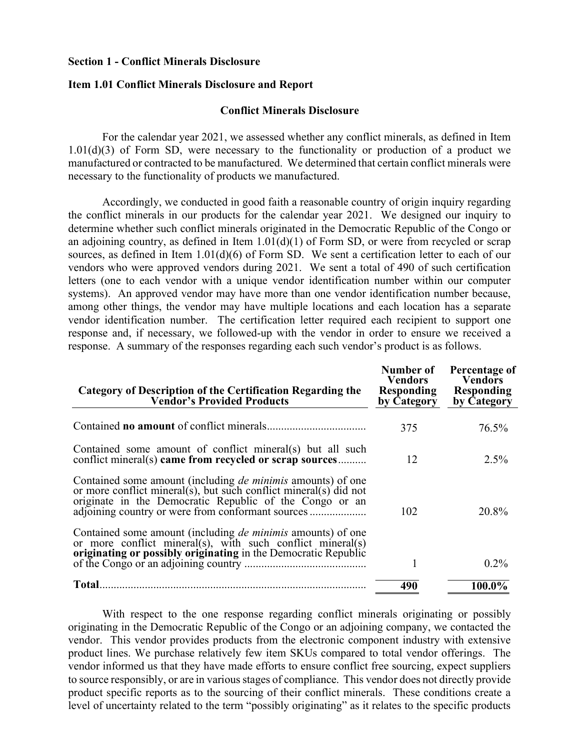#### Section 1 - Conflict Minerals Disclosure

#### Item 1.01 Conflict Minerals Disclosure and Report

### Conflict Minerals Disclosure

For the calendar year 2021, we assessed whether any conflict minerals, as defined in Item  $1.01(d)(3)$  of Form SD, were necessary to the functionality or production of a product we manufactured or contracted to be manufactured. We determined that certain conflict minerals were necessary to the functionality of products we manufactured.

Accordingly, we conducted in good faith a reasonable country of origin inquiry regarding the conflict minerals in our products for the calendar year 2021. We designed our inquiry to determine whether such conflict minerals originated in the Democratic Republic of the Congo or an adjoining country, as defined in Item  $1.01(d)(1)$  of Form SD, or were from recycled or scrap sources, as defined in Item 1.01(d)(6) of Form SD. We sent a certification letter to each of our vendors who were approved vendors during 2021. We sent a total of 490 of such certification letters (one to each vendor with a unique vendor identification number within our computer systems). An approved vendor may have more than one vendor identification number because, among other things, the vendor may have multiple locations and each location has a separate vendor identification number. The certification letter required each recipient to support one response and, if necessary, we followed-up with the vendor in order to ensure we received a response. A summary of the responses regarding each such vendor's product is as follows.

| <b>Category of Description of the Certification Regarding the<br/>Vendor's Provided Products</b>                                                                                                   | Number of<br><b>Vendors</b><br><b>Responding</b><br>by Category | Percentage of<br><b>Vendors</b><br><b>Responding</b><br>by Category |
|----------------------------------------------------------------------------------------------------------------------------------------------------------------------------------------------------|-----------------------------------------------------------------|---------------------------------------------------------------------|
|                                                                                                                                                                                                    | 375                                                             | 76.5%                                                               |
| Contained some amount of conflict mineral(s) but all such<br>conflict mineral(s) came from recycled or scrap sources                                                                               | 12                                                              | $2.5\%$                                                             |
| Contained some amount (including <i>de minimis</i> amounts) of one<br>or more conflict mineral(s), but such conflict mineral(s) did not<br>originate in the Democratic Republic of the Congo or an | 102                                                             | 20.8%                                                               |
| Contained some amount (including <i>de minimis</i> amounts) of one<br>or more conflict mineral(s), with such conflict mineral(s)<br>originating or possibly originating in the Democratic Republic | 1                                                               | $0.2\%$                                                             |
| <b>Total</b>                                                                                                                                                                                       | 490                                                             | 100.0%                                                              |

With respect to the one response regarding conflict minerals originating or possibly originating in the Democratic Republic of the Congo or an adjoining company, we contacted the vendor. This vendor provides products from the electronic component industry with extensive product lines. We purchase relatively few item SKUs compared to total vendor offerings. The vendor informed us that they have made efforts to ensure conflict free sourcing, expect suppliers to source responsibly, or are in various stages of compliance. This vendor does not directly provide product specific reports as to the sourcing of their conflict minerals. These conditions create a level of uncertainty related to the term "possibly originating" as it relates to the specific products